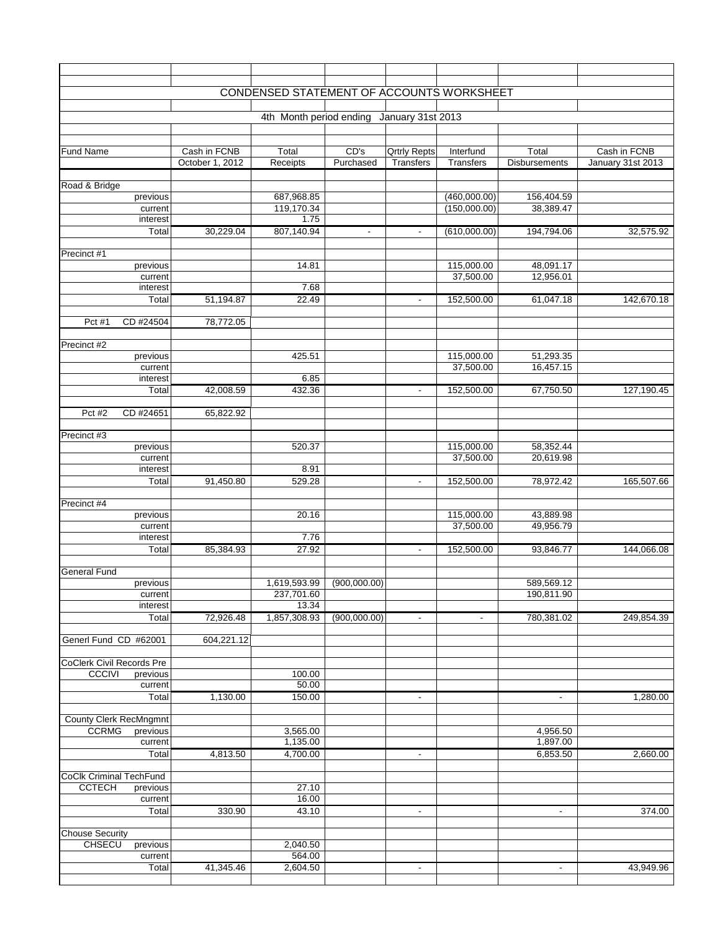|                               |                                 | CONDENSED STATEMENT OF ACCOUNTS WORKSHEET |                   |                                  |                               |                               |                                   |
|-------------------------------|---------------------------------|-------------------------------------------|-------------------|----------------------------------|-------------------------------|-------------------------------|-----------------------------------|
|                               |                                 | 4th Month period ending                   |                   | January 31st 2013                |                               |                               |                                   |
|                               |                                 |                                           |                   |                                  |                               |                               |                                   |
| <b>Fund Name</b>              | Cash in FCNB<br>October 1, 2012 | Total<br>Receipts                         | CD's<br>Purchased | <b>Qrtrly Repts</b><br>Transfers | Interfund<br><b>Transfers</b> | Total<br><b>Disbursements</b> | Cash in FCNB<br>January 31st 2013 |
| Road & Bridge                 |                                 |                                           |                   |                                  |                               |                               |                                   |
| previous                      |                                 | 687,968.85                                |                   |                                  | (460,000.00)                  | 156,404.59                    |                                   |
| current                       |                                 | 119,170.34                                |                   |                                  | (150,000.00)                  | 38,389.47                     |                                   |
| interest                      |                                 | 1.75                                      |                   |                                  |                               |                               |                                   |
| Total                         | 30,229.04                       | 807,140.94                                | $\blacksquare$    | $\blacksquare$                   | (610,000.00)                  | 194,794.06                    | 32,575.92                         |
|                               |                                 |                                           |                   |                                  |                               |                               |                                   |
| Precinct #1                   |                                 | 14.81                                     |                   |                                  | 115,000.00                    | 48,091.17                     |                                   |
| previous<br>current           |                                 |                                           |                   |                                  | 37,500.00                     | 12,956.01                     |                                   |
| interest                      |                                 | 7.68                                      |                   |                                  |                               |                               |                                   |
| Total                         | 51,194.87                       | 22.49                                     |                   | $\sim$                           | 152,500.00                    | 61,047.18                     | 142,670.18                        |
|                               |                                 |                                           |                   |                                  |                               |                               |                                   |
| CD #24504<br>Pct #1           | 78,772.05                       |                                           |                   |                                  |                               |                               |                                   |
| Precinct #2                   |                                 |                                           |                   |                                  |                               |                               |                                   |
| previous                      |                                 | 425.51                                    |                   |                                  | 115,000.00                    | 51,293.35                     |                                   |
| current                       |                                 |                                           |                   |                                  | 37,500.00                     | 16,457.15                     |                                   |
| interest                      |                                 | 6.85                                      |                   |                                  |                               |                               |                                   |
| Total                         | 42,008.59                       | 432.36                                    |                   | $\sim$                           | 152,500.00                    | 67,750.50                     | 127,190.45                        |
| Pct #2<br>CD #24651           | 65,822.92                       |                                           |                   |                                  |                               |                               |                                   |
| Precinct #3                   |                                 |                                           |                   |                                  |                               |                               |                                   |
| previous                      |                                 | 520.37                                    |                   |                                  | 115,000.00                    | 58,352.44                     |                                   |
| current                       |                                 |                                           |                   |                                  | 37,500.00                     | 20,619.98                     |                                   |
| interest                      |                                 | 8.91                                      |                   |                                  |                               |                               |                                   |
| Total                         | 91,450.80                       | 529.28                                    |                   | $\blacksquare$                   | 152,500.00                    | 78,972.42                     | 165,507.66                        |
|                               |                                 |                                           |                   |                                  |                               |                               |                                   |
| Precinct #4<br>previous       |                                 | 20.16                                     |                   |                                  | 115,000.00                    | 43,889.98                     |                                   |
| current                       |                                 |                                           |                   |                                  | 37,500.00                     | 49,956.79                     |                                   |
| interest                      |                                 | 7.76                                      |                   |                                  |                               |                               |                                   |
| Total                         | 85,384.93                       | 27.92                                     |                   | $\blacksquare$                   | 152,500.00                    | 93,846.77                     | 144,066.08                        |
|                               |                                 |                                           |                   |                                  |                               |                               |                                   |
| <b>General Fund</b>           |                                 |                                           |                   |                                  |                               |                               |                                   |
| previous                      |                                 | 1,619,593.99                              | (900,000.00)      |                                  |                               | 589,569.12                    |                                   |
| current<br>interest           |                                 | 237,701.60<br>13.34                       |                   |                                  |                               | 190,811.90                    |                                   |
| Total                         | 72,926.48                       | 1,857,308.93                              | (900,000.00)      | $\blacksquare$                   | $\blacksquare$                | 780,381.02                    | 249,854.39                        |
|                               |                                 |                                           |                   |                                  |                               |                               |                                   |
| Generl Fund CD #62001         | 604,221.12                      |                                           |                   |                                  |                               |                               |                                   |
| CoClerk Civil Records Pre     |                                 |                                           |                   |                                  |                               |                               |                                   |
| <b>CCCIVI</b><br>previous     |                                 | 100.00                                    |                   |                                  |                               |                               |                                   |
| current                       |                                 | 50.00                                     |                   |                                  |                               |                               |                                   |
| Total                         | 1,130.00                        | 150.00                                    |                   | $\blacksquare$                   |                               | $\overline{\phantom{a}}$      | 1,280.00                          |
| <b>County Clerk RecMngmnt</b> |                                 |                                           |                   |                                  |                               |                               |                                   |
| <b>CCRMG</b><br>previous      |                                 | 3,565.00                                  |                   |                                  |                               | 4,956.50                      |                                   |
| current                       |                                 | 1,135.00                                  |                   |                                  |                               | 1,897.00                      |                                   |
| Total                         | 4,813.50                        | 4,700.00                                  |                   | $\blacksquare$                   |                               | 6,853.50                      | 2,660.00                          |
|                               |                                 |                                           |                   |                                  |                               |                               |                                   |
| CoClk Criminal TechFund       |                                 |                                           |                   |                                  |                               |                               |                                   |
| <b>CCTECH</b><br>previous     |                                 | 27.10<br>16.00                            |                   |                                  |                               |                               |                                   |
| current<br>Total              | 330.90                          | 43.10                                     |                   | $\overline{\phantom{a}}$         |                               |                               | 374.00                            |
|                               |                                 |                                           |                   |                                  |                               |                               |                                   |
| <b>Chouse Security</b>        |                                 |                                           |                   |                                  |                               |                               |                                   |
| <b>CHSECU</b><br>previous     |                                 | 2,040.50                                  |                   |                                  |                               |                               |                                   |
| current                       |                                 | 564.00                                    |                   |                                  |                               |                               |                                   |
| Total                         | 41,345.46                       | 2,604.50                                  |                   | $\sim$                           |                               | $\blacksquare$                | 43,949.96                         |
|                               |                                 |                                           |                   |                                  |                               |                               |                                   |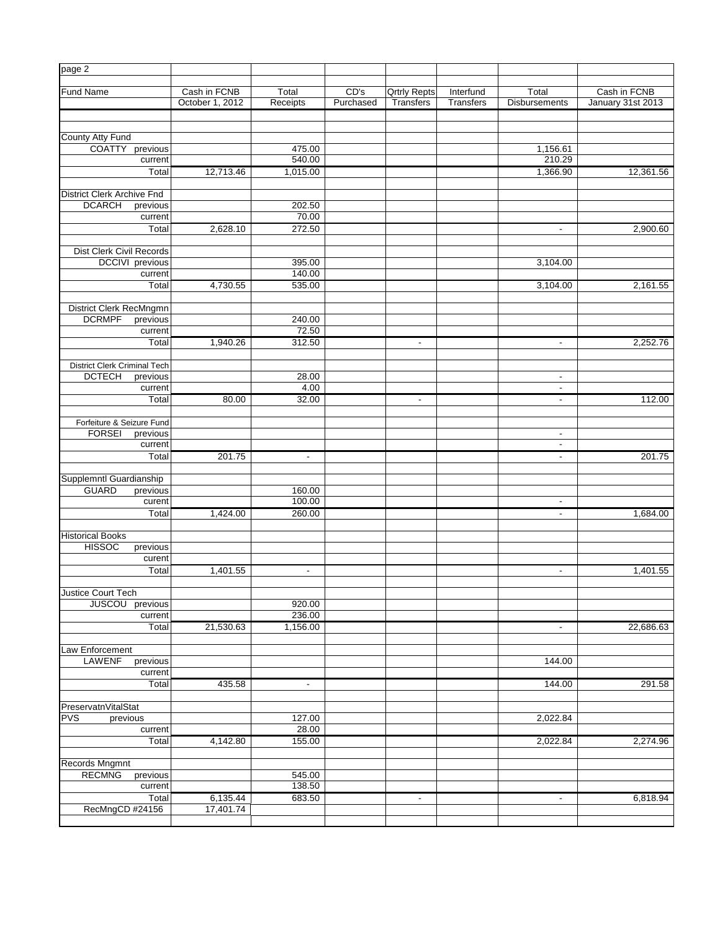| page 2                              |                        |                 |           |                     |                  |                          |                   |
|-------------------------------------|------------------------|-----------------|-----------|---------------------|------------------|--------------------------|-------------------|
|                                     |                        |                 |           |                     |                  |                          |                   |
| <b>Fund Name</b>                    | Cash in FCNB           | Total           | CD's      | <b>Qrtrly Repts</b> | Interfund        | Total                    | Cash in FCNB      |
|                                     | October 1, 2012        | Receipts        | Purchased | Transfers           | <b>Transfers</b> | <b>Disbursements</b>     | January 31st 2013 |
|                                     |                        |                 |           |                     |                  |                          |                   |
|                                     |                        |                 |           |                     |                  |                          |                   |
| <b>County Atty Fund</b>             |                        |                 |           |                     |                  |                          |                   |
| <b>COATTY</b><br>previous           |                        | 475.00          |           |                     |                  | 1,156.61                 |                   |
| current                             |                        | 540.00          |           |                     |                  | 210.29                   |                   |
| Total                               | 12,713.46              | 1,015.00        |           |                     |                  | 1,366.90                 | 12,361.56         |
|                                     |                        |                 |           |                     |                  |                          |                   |
| <b>District Clerk Archive Fnd</b>   |                        |                 |           |                     |                  |                          |                   |
| <b>DCARCH</b><br>previous           |                        | 202.50<br>70.00 |           |                     |                  |                          |                   |
| current                             |                        |                 |           |                     |                  |                          |                   |
| Total                               | 2,628.10               | 272.50          |           |                     |                  | $\blacksquare$           | 2,900.60          |
| Dist Clerk Civil Records            |                        |                 |           |                     |                  |                          |                   |
| <b>DCCIVI</b> previous              |                        | 395.00          |           |                     |                  | 3,104.00                 |                   |
| current                             |                        | 140.00          |           |                     |                  |                          |                   |
| Total                               | 4,730.55               | 535.00          |           |                     |                  | 3,104.00                 | 2,161.55          |
|                                     |                        |                 |           |                     |                  |                          |                   |
| District Clerk RecMngmn             |                        |                 |           |                     |                  |                          |                   |
| <b>DCRMPF</b><br>previous           |                        | 240.00          |           |                     |                  |                          |                   |
| current                             |                        | 72.50           |           |                     |                  |                          |                   |
| Total                               | 1,940.26               | 312.50          |           | $\blacksquare$      |                  | $\blacksquare$           | 2,252.76          |
|                                     |                        |                 |           |                     |                  |                          |                   |
| <b>District Clerk Criminal Tech</b> |                        |                 |           |                     |                  |                          |                   |
| <b>DCTECH</b><br>previous           |                        | 28.00           |           |                     |                  | $\blacksquare$           |                   |
| current                             |                        | 4.00            |           |                     |                  | $\overline{\phantom{a}}$ |                   |
| Total                               | 80.00                  | 32.00           |           | $\blacksquare$      |                  | $\blacksquare$           | 112.00            |
|                                     |                        |                 |           |                     |                  |                          |                   |
| Forfeiture & Seizure Fund           |                        |                 |           |                     |                  |                          |                   |
| <b>FORSEI</b><br>previous           |                        |                 |           |                     |                  | $\blacksquare$           |                   |
| current                             |                        |                 |           |                     |                  | $\blacksquare$           |                   |
| Total                               | 201.75                 | $\sim$          |           |                     |                  | ٠                        | 201.75            |
|                                     |                        |                 |           |                     |                  |                          |                   |
| Supplemntl Guardianship             |                        |                 |           |                     |                  |                          |                   |
| <b>GUARD</b><br>previous            |                        | 160.00          |           |                     |                  |                          |                   |
| curent                              |                        | 100.00          |           |                     |                  | $\blacksquare$           |                   |
| Total                               | 1,424.00               | 260.00          |           |                     |                  | $\blacksquare$           | 1,684.00          |
|                                     |                        |                 |           |                     |                  |                          |                   |
| <b>Historical Books</b>             |                        |                 |           |                     |                  |                          |                   |
| <b>HISSOC</b><br>previous           |                        |                 |           |                     |                  |                          |                   |
| curent                              |                        |                 |           |                     |                  |                          |                   |
| Total                               | 1,401.55               | $\blacksquare$  |           |                     |                  | ٠                        | 1,401.55          |
|                                     |                        |                 |           |                     |                  |                          |                   |
| <b>Justice Court Tech</b>           |                        |                 |           |                     |                  |                          |                   |
| <b>JUSCOU</b><br>previous           |                        | 920.00          |           |                     |                  |                          |                   |
| current                             |                        | 236.00          |           |                     |                  |                          |                   |
| Total                               | 21,530.63              | 1,156.00        |           |                     |                  | $\blacksquare$           | 22,686.63         |
|                                     |                        |                 |           |                     |                  |                          |                   |
| Law Enforcement                     |                        |                 |           |                     |                  |                          |                   |
| <b>LAWENF</b><br>previous           |                        |                 |           |                     |                  | 144.00                   |                   |
| current                             |                        |                 |           |                     |                  |                          |                   |
| Total                               | 435.58                 | $\blacksquare$  |           |                     |                  | 144.00                   | 291.58            |
|                                     |                        |                 |           |                     |                  |                          |                   |
| PreservatnVitalStat                 |                        |                 |           |                     |                  |                          |                   |
| <b>PVS</b><br>previous              |                        | 127.00          |           |                     |                  | 2,022.84                 |                   |
| current                             |                        | 28.00           |           |                     |                  |                          |                   |
| Total                               | 4,142.80               | 155.00          |           |                     |                  | 2,022.84                 | 2,274.96          |
|                                     |                        |                 |           |                     |                  |                          |                   |
| Records Mngmnt                      |                        |                 |           |                     |                  |                          |                   |
| <b>RECMNG</b><br>previous           |                        | 545.00          |           |                     |                  |                          |                   |
| current                             |                        | 138.50          |           |                     |                  |                          |                   |
| Total                               | 6,135.44               | 683.50          |           | $\blacksquare$      |                  | ٠                        | 6,818.94          |
| RecMngCD #24156                     | $17,401.\overline{74}$ |                 |           |                     |                  |                          |                   |
|                                     |                        |                 |           |                     |                  |                          |                   |